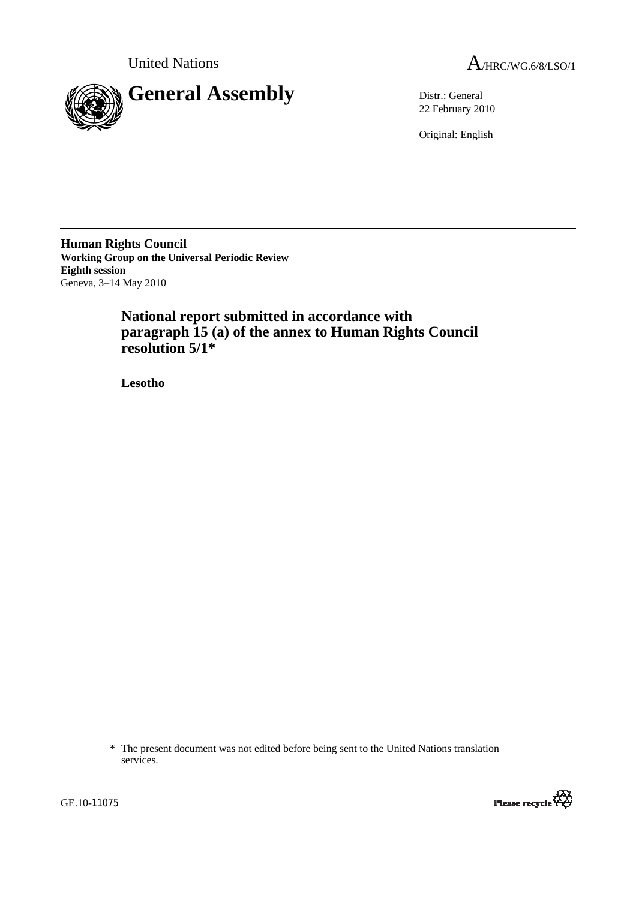



22 February 2010

Original: English

**Human Rights Council Working Group on the Universal Periodic Review Eighth session**  Geneva, 3–14 May 2010

# **National report submitted in accordance with paragraph 15 (a) of the annex to Human Rights Council resolution 5/1\***

 **Lesotho** 



 <sup>\*</sup> The present document was not edited before being sent to the United Nations translation services.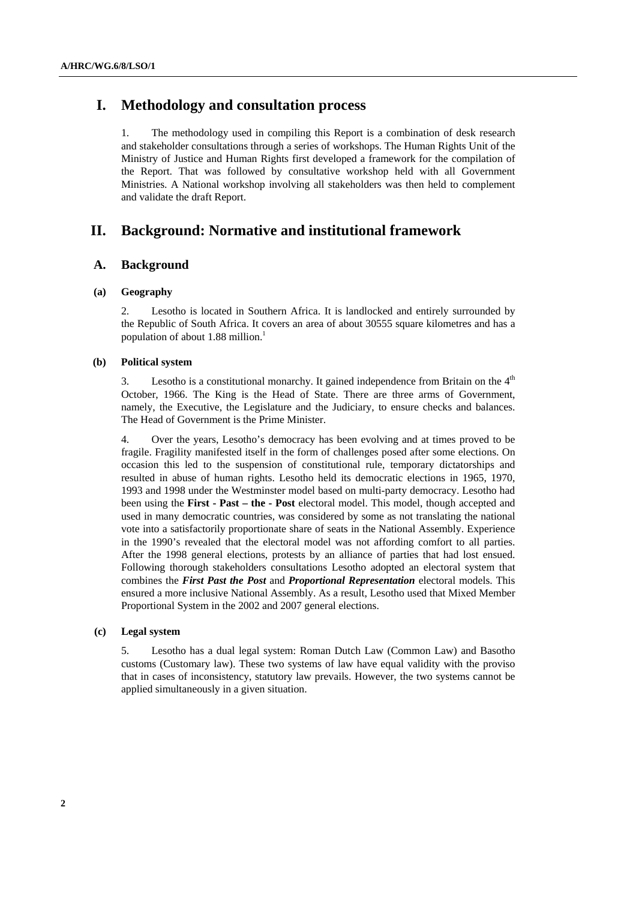## **I. Methodology and consultation process**

1. The methodology used in compiling this Report is a combination of desk research and stakeholder consultations through a series of workshops. The Human Rights Unit of the Ministry of Justice and Human Rights first developed a framework for the compilation of the Report. That was followed by consultative workshop held with all Government Ministries. A National workshop involving all stakeholders was then held to complement and validate the draft Report.

## **II. Background: Normative and institutional framework**

## **A. Background**

### **(a) Geography**

2. Lesotho is located in Southern Africa. It is landlocked and entirely surrounded by the Republic of South Africa. It covers an area of about 30555 square kilometres and has a population of about 1.88 million.<sup>1</sup>

### **(b) Political system**

3. Lesotho is a constitutional monarchy. It gained independence from Britain on the  $4<sup>th</sup>$ October, 1966. The King is the Head of State. There are three arms of Government, namely, the Executive, the Legislature and the Judiciary, to ensure checks and balances. The Head of Government is the Prime Minister.

4. Over the years, Lesotho's democracy has been evolving and at times proved to be fragile. Fragility manifested itself in the form of challenges posed after some elections. On occasion this led to the suspension of constitutional rule, temporary dictatorships and resulted in abuse of human rights. Lesotho held its democratic elections in 1965, 1970, 1993 and 1998 under the Westminster model based on multi-party democracy. Lesotho had been using the **First - Past – the - Post** electoral model. This model, though accepted and used in many democratic countries, was considered by some as not translating the national vote into a satisfactorily proportionate share of seats in the National Assembly. Experience in the 1990's revealed that the electoral model was not affording comfort to all parties. After the 1998 general elections, protests by an alliance of parties that had lost ensued. Following thorough stakeholders consultations Lesotho adopted an electoral system that combines the *First Past the Post* and *Proportional Representation* electoral models. This ensured a more inclusive National Assembly. As a result, Lesotho used that Mixed Member Proportional System in the 2002 and 2007 general elections.

#### **(c) Legal system**

5. Lesotho has a dual legal system: Roman Dutch Law (Common Law) and Basotho customs (Customary law). These two systems of law have equal validity with the proviso that in cases of inconsistency, statutory law prevails. However, the two systems cannot be applied simultaneously in a given situation.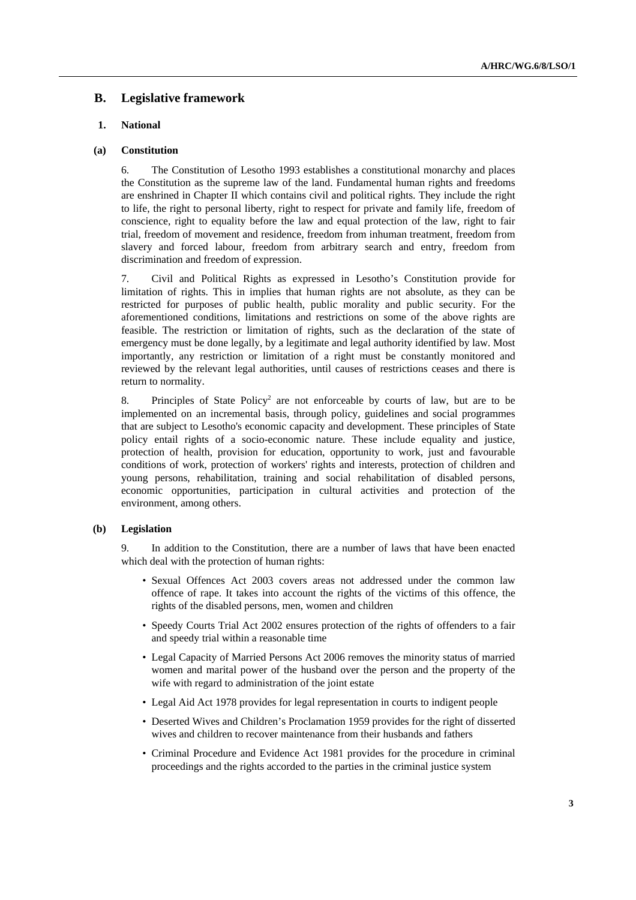## **B. Legislative framework**

## **1. National**

### **(a) Constitution**

6. The Constitution of Lesotho 1993 establishes a constitutional monarchy and places the Constitution as the supreme law of the land. Fundamental human rights and freedoms are enshrined in Chapter II which contains civil and political rights. They include the right to life, the right to personal liberty, right to respect for private and family life, freedom of conscience, right to equality before the law and equal protection of the law, right to fair trial, freedom of movement and residence, freedom from inhuman treatment, freedom from slavery and forced labour, freedom from arbitrary search and entry, freedom from discrimination and freedom of expression.

7. Civil and Political Rights as expressed in Lesotho's Constitution provide for limitation of rights. This in implies that human rights are not absolute, as they can be restricted for purposes of public health, public morality and public security. For the aforementioned conditions, limitations and restrictions on some of the above rights are feasible. The restriction or limitation of rights, such as the declaration of the state of emergency must be done legally, by a legitimate and legal authority identified by law. Most importantly, any restriction or limitation of a right must be constantly monitored and reviewed by the relevant legal authorities, until causes of restrictions ceases and there is return to normality.

8. Principles of State Policy<sup>2</sup> are not enforceable by courts of law, but are to be implemented on an incremental basis, through policy, guidelines and social programmes that are subject to Lesotho's economic capacity and development. These principles of State policy entail rights of a socio-economic nature. These include equality and justice, protection of health, provision for education, opportunity to work, just and favourable conditions of work, protection of workers' rights and interests, protection of children and young persons, rehabilitation, training and social rehabilitation of disabled persons, economic opportunities, participation in cultural activities and protection of the environment, among others.

#### **(b) Legislation**

9. In addition to the Constitution, there are a number of laws that have been enacted which deal with the protection of human rights:

- Sexual Offences Act 2003 covers areas not addressed under the common law offence of rape. It takes into account the rights of the victims of this offence, the rights of the disabled persons, men, women and children
- Speedy Courts Trial Act 2002 ensures protection of the rights of offenders to a fair and speedy trial within a reasonable time
- Legal Capacity of Married Persons Act 2006 removes the minority status of married women and marital power of the husband over the person and the property of the wife with regard to administration of the joint estate
- Legal Aid Act 1978 provides for legal representation in courts to indigent people
- Deserted Wives and Children's Proclamation 1959 provides for the right of disserted wives and children to recover maintenance from their husbands and fathers
- Criminal Procedure and Evidence Act 1981 provides for the procedure in criminal proceedings and the rights accorded to the parties in the criminal justice system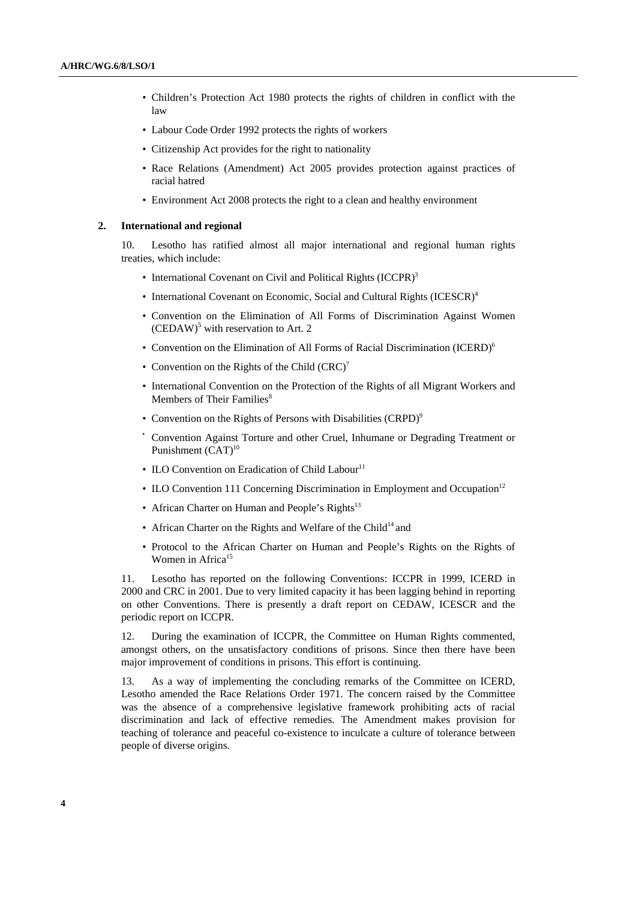- Children's Protection Act 1980 protects the rights of children in conflict with the law
- Labour Code Order 1992 protects the rights of workers
- Citizenship Act provides for the right to nationality
- Race Relations (Amendment) Act 2005 provides protection against practices of racial hatred
- Environment Act 2008 protects the right to a clean and healthy environment

#### **2. International and regional**

10. Lesotho has ratified almost all major international and regional human rights treaties, which include:

- International Covenant on Civil and Political Rights (ICCPR)<sup>3</sup>
- International Covenant on Economic, Social and Cultural Rights (ICESCR)<sup>4</sup>
- Convention on the Elimination of All Forms of Discrimination Against Women  $(CEDAW)^5$  with reservation to Art. 2
- Convention on the Elimination of All Forms of Racial Discrimination (ICERD)<sup>6</sup>
- Convention on the Rights of the Child  $(CRC)^7$
- International Convention on the Protection of the Rights of all Migrant Workers and Members of Their Families<sup>8</sup>
- Convention on the Rights of Persons with Disabilities (CRPD)<sup>9</sup>
- Convention Against Torture and other Cruel, Inhumane or Degrading Treatment or Punishment (CAT)<sup>10</sup>
- ILO Convention on Eradication of Child Labour<sup>11</sup>
- ILO Convention 111 Concerning Discrimination in Employment and Occupation<sup>12</sup>
- African Charter on Human and People's Rights<sup>13</sup>
- African Charter on the Rights and Welfare of the Child<sup>14</sup> and
- Protocol to the African Charter on Human and People's Rights on the Rights of Women in Africa<sup>15</sup>

11. Lesotho has reported on the following Conventions: ICCPR in 1999, ICERD in 2000 and CRC in 2001. Due to very limited capacity it has been lagging behind in reporting on other Conventions. There is presently a draft report on CEDAW, ICESCR and the periodic report on ICCPR.

12. During the examination of ICCPR, the Committee on Human Rights commented, amongst others, on the unsatisfactory conditions of prisons. Since then there have been major improvement of conditions in prisons. This effort is continuing.

13. As a way of implementing the concluding remarks of the Committee on ICERD, Lesotho amended the Race Relations Order 1971. The concern raised by the Committee was the absence of a comprehensive legislative framework prohibiting acts of racial discrimination and lack of effective remedies. The Amendment makes provision for teaching of tolerance and peaceful co-existence to inculcate a culture of tolerance between people of diverse origins.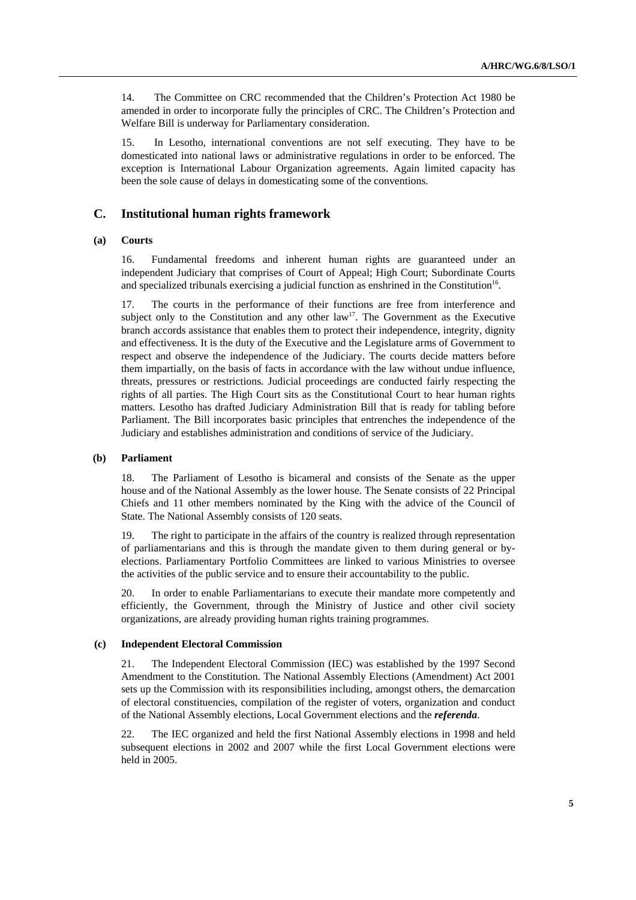14. The Committee on CRC recommended that the Children's Protection Act 1980 be amended in order to incorporate fully the principles of CRC. The Children's Protection and Welfare Bill is underway for Parliamentary consideration.

15. In Lesotho, international conventions are not self executing. They have to be domesticated into national laws or administrative regulations in order to be enforced. The exception is International Labour Organization agreements. Again limited capacity has been the sole cause of delays in domesticating some of the conventions.

## **C. Institutional human rights framework**

### **(a) Courts**

16. Fundamental freedoms and inherent human rights are guaranteed under an independent Judiciary that comprises of Court of Appeal; High Court; Subordinate Courts and specialized tribunals exercising a judicial function as enshrined in the Constitution<sup>16</sup>.

17. The courts in the performance of their functions are free from interference and subject only to the Constitution and any other  $law<sup>17</sup>$ . The Government as the Executive branch accords assistance that enables them to protect their independence, integrity, dignity and effectiveness. It is the duty of the Executive and the Legislature arms of Government to respect and observe the independence of the Judiciary. The courts decide matters before them impartially, on the basis of facts in accordance with the law without undue influence, threats, pressures or restrictions. Judicial proceedings are conducted fairly respecting the rights of all parties. The High Court sits as the Constitutional Court to hear human rights matters. Lesotho has drafted Judiciary Administration Bill that is ready for tabling before Parliament. The Bill incorporates basic principles that entrenches the independence of the Judiciary and establishes administration and conditions of service of the Judiciary.

#### **(b) Parliament**

18. The Parliament of Lesotho is bicameral and consists of the Senate as the upper house and of the National Assembly as the lower house. The Senate consists of 22 Principal Chiefs and 11 other members nominated by the King with the advice of the Council of State. The National Assembly consists of 120 seats.

19. The right to participate in the affairs of the country is realized through representation of parliamentarians and this is through the mandate given to them during general or byelections. Parliamentary Portfolio Committees are linked to various Ministries to oversee the activities of the public service and to ensure their accountability to the public.

20. In order to enable Parliamentarians to execute their mandate more competently and efficiently, the Government, through the Ministry of Justice and other civil society organizations, are already providing human rights training programmes.

#### **(c) Independent Electoral Commission**

21. The Independent Electoral Commission (IEC) was established by the 1997 Second Amendment to the Constitution. The National Assembly Elections (Amendment) Act 2001 sets up the Commission with its responsibilities including, amongst others, the demarcation of electoral constituencies, compilation of the register of voters, organization and conduct of the National Assembly elections, Local Government elections and the *referenda*.

22. The IEC organized and held the first National Assembly elections in 1998 and held subsequent elections in 2002 and 2007 while the first Local Government elections were held in 2005.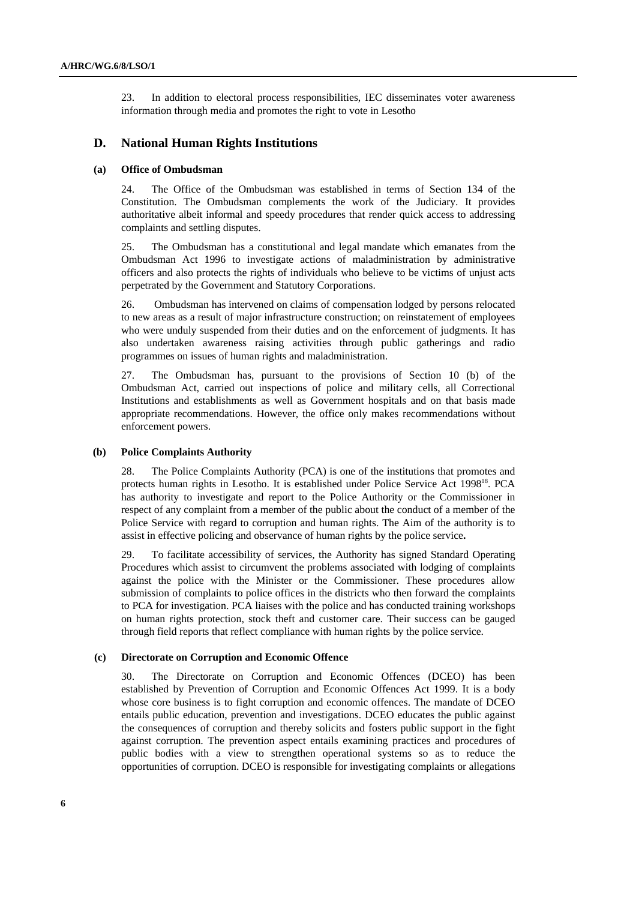23. In addition to electoral process responsibilities, IEC disseminates voter awareness information through media and promotes the right to vote in Lesotho

## **D. National Human Rights Institutions**

## **(a) Office of Ombudsman**

24. The Office of the Ombudsman was established in terms of Section 134 of the Constitution. The Ombudsman complements the work of the Judiciary. It provides authoritative albeit informal and speedy procedures that render quick access to addressing complaints and settling disputes.

25. The Ombudsman has a constitutional and legal mandate which emanates from the Ombudsman Act 1996 to investigate actions of maladministration by administrative officers and also protects the rights of individuals who believe to be victims of unjust acts perpetrated by the Government and Statutory Corporations.

26. Ombudsman has intervened on claims of compensation lodged by persons relocated to new areas as a result of major infrastructure construction; on reinstatement of employees who were unduly suspended from their duties and on the enforcement of judgments. It has also undertaken awareness raising activities through public gatherings and radio programmes on issues of human rights and maladministration.

27. The Ombudsman has, pursuant to the provisions of Section 10 (b) of the Ombudsman Act, carried out inspections of police and military cells, all Correctional Institutions and establishments as well as Government hospitals and on that basis made appropriate recommendations. However, the office only makes recommendations without enforcement powers.

#### **(b) Police Complaints Authority**

28. The Police Complaints Authority (PCA) is one of the institutions that promotes and protects human rights in Lesotho. It is established under Police Service Act 1998<sup>18</sup>. PCA has authority to investigate and report to the Police Authority or the Commissioner in respect of any complaint from a member of the public about the conduct of a member of the Police Service with regard to corruption and human rights. The Aim of the authority is to assist in effective policing and observance of human rights by the police service**.** 

29. To facilitate accessibility of services, the Authority has signed Standard Operating Procedures which assist to circumvent the problems associated with lodging of complaints against the police with the Minister or the Commissioner. These procedures allow submission of complaints to police offices in the districts who then forward the complaints to PCA for investigation. PCA liaises with the police and has conducted training workshops on human rights protection, stock theft and customer care. Their success can be gauged through field reports that reflect compliance with human rights by the police service.

#### **(c) Directorate on Corruption and Economic Offence**

30. The Directorate on Corruption and Economic Offences (DCEO) has been established by Prevention of Corruption and Economic Offences Act 1999. It is a body whose core business is to fight corruption and economic offences. The mandate of DCEO entails public education, prevention and investigations. DCEO educates the public against the consequences of corruption and thereby solicits and fosters public support in the fight against corruption. The prevention aspect entails examining practices and procedures of public bodies with a view to strengthen operational systems so as to reduce the opportunities of corruption. DCEO is responsible for investigating complaints or allegations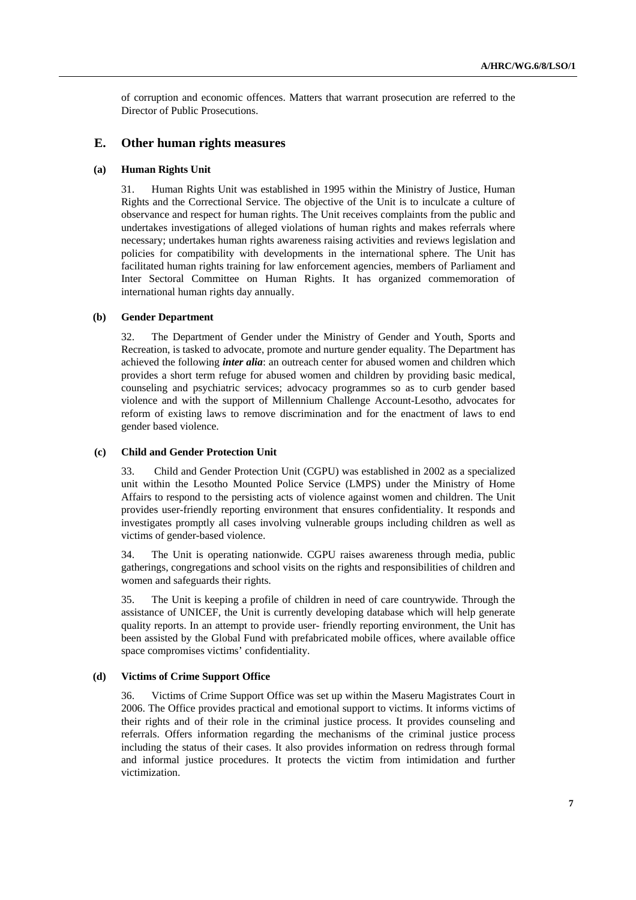of corruption and economic offences. Matters that warrant prosecution are referred to the Director of Public Prosecutions.

## **E. Other human rights measures**

## **(a) Human Rights Unit**

31. Human Rights Unit was established in 1995 within the Ministry of Justice, Human Rights and the Correctional Service. The objective of the Unit is to inculcate a culture of observance and respect for human rights. The Unit receives complaints from the public and undertakes investigations of alleged violations of human rights and makes referrals where necessary; undertakes human rights awareness raising activities and reviews legislation and policies for compatibility with developments in the international sphere. The Unit has facilitated human rights training for law enforcement agencies, members of Parliament and Inter Sectoral Committee on Human Rights. It has organized commemoration of international human rights day annually.

### **(b) Gender Department**

32. The Department of Gender under the Ministry of Gender and Youth, Sports and Recreation, is tasked to advocate, promote and nurture gender equality. The Department has achieved the following *inter alia*: an outreach center for abused women and children which provides a short term refuge for abused women and children by providing basic medical, counseling and psychiatric services; advocacy programmes so as to curb gender based violence and with the support of Millennium Challenge Account-Lesotho, advocates for reform of existing laws to remove discrimination and for the enactment of laws to end gender based violence.

### **(c) Child and Gender Protection Unit**

33. Child and Gender Protection Unit (CGPU) was established in 2002 as a specialized unit within the Lesotho Mounted Police Service (LMPS) under the Ministry of Home Affairs to respond to the persisting acts of violence against women and children. The Unit provides user-friendly reporting environment that ensures confidentiality. It responds and investigates promptly all cases involving vulnerable groups including children as well as victims of gender-based violence.

34. The Unit is operating nationwide. CGPU raises awareness through media, public gatherings, congregations and school visits on the rights and responsibilities of children and women and safeguards their rights.

35. The Unit is keeping a profile of children in need of care countrywide. Through the assistance of UNICEF, the Unit is currently developing database which will help generate quality reports. In an attempt to provide user- friendly reporting environment, the Unit has been assisted by the Global Fund with prefabricated mobile offices, where available office space compromises victims' confidentiality.

### **(d) Victims of Crime Support Office**

36. Victims of Crime Support Office was set up within the Maseru Magistrates Court in 2006. The Office provides practical and emotional support to victims. It informs victims of their rights and of their role in the criminal justice process. It provides counseling and referrals. Offers information regarding the mechanisms of the criminal justice process including the status of their cases. It also provides information on redress through formal and informal justice procedures. It protects the victim from intimidation and further victimization.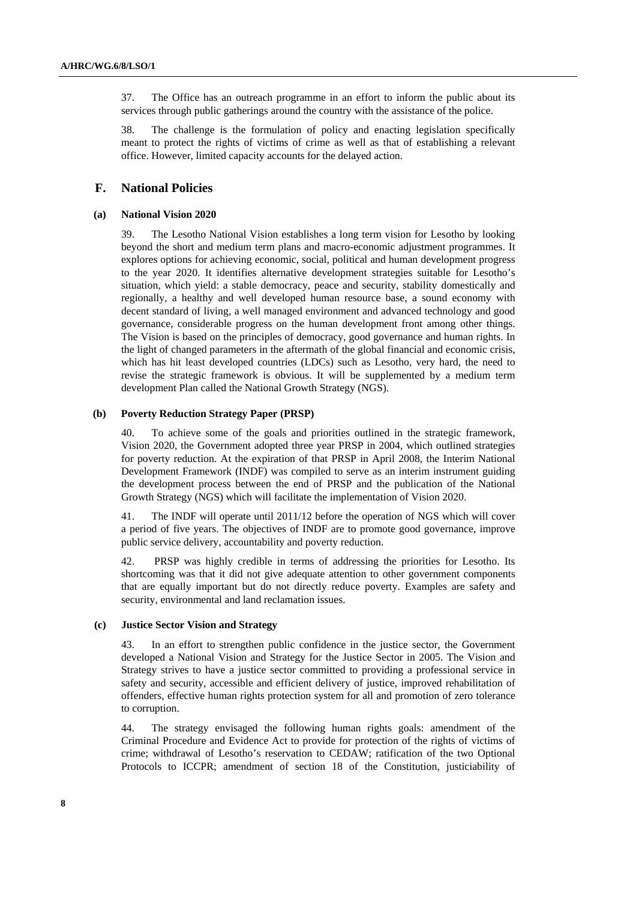37. The Office has an outreach programme in an effort to inform the public about its services through public gatherings around the country with the assistance of the police.

38. The challenge is the formulation of policy and enacting legislation specifically meant to protect the rights of victims of crime as well as that of establishing a relevant office. However, limited capacity accounts for the delayed action.

## **F. National Policies**

#### **(a) National Vision 2020**

39. The Lesotho National Vision establishes a long term vision for Lesotho by looking beyond the short and medium term plans and macro-economic adjustment programmes. It explores options for achieving economic, social, political and human development progress to the year 2020. It identifies alternative development strategies suitable for Lesotho's situation, which yield: a stable democracy, peace and security, stability domestically and regionally, a healthy and well developed human resource base, a sound economy with decent standard of living, a well managed environment and advanced technology and good governance, considerable progress on the human development front among other things. The Vision is based on the principles of democracy, good governance and human rights. In the light of changed parameters in the aftermath of the global financial and economic crisis, which has hit least developed countries (LDCs) such as Lesotho, very hard, the need to revise the strategic framework is obvious. It will be supplemented by a medium term development Plan called the National Growth Strategy (NGS).

#### **(b) Poverty Reduction Strategy Paper (PRSP)**

40. To achieve some of the goals and priorities outlined in the strategic framework, Vision 2020, the Government adopted three year PRSP in 2004, which outlined strategies for poverty reduction. At the expiration of that PRSP in April 2008, the Interim National Development Framework (INDF) was compiled to serve as an interim instrument guiding the development process between the end of PRSP and the publication of the National Growth Strategy (NGS) which will facilitate the implementation of Vision 2020.

41. The INDF will operate until 2011/12 before the operation of NGS which will cover a period of five years. The objectives of INDF are to promote good governance, improve public service delivery, accountability and poverty reduction.

42. PRSP was highly credible in terms of addressing the priorities for Lesotho. Its shortcoming was that it did not give adequate attention to other government components that are equally important but do not directly reduce poverty. Examples are safety and security, environmental and land reclamation issues.

## **(c) Justice Sector Vision and Strategy**

43. In an effort to strengthen public confidence in the justice sector, the Government developed a National Vision and Strategy for the Justice Sector in 2005. The Vision and Strategy strives to have a justice sector committed to providing a professional service in safety and security, accessible and efficient delivery of justice, improved rehabilitation of offenders, effective human rights protection system for all and promotion of zero tolerance to corruption.

44. The strategy envisaged the following human rights goals: amendment of the Criminal Procedure and Evidence Act to provide for protection of the rights of victims of crime; withdrawal of Lesotho's reservation to CEDAW; ratification of the two Optional Protocols to ICCPR; amendment of section 18 of the Constitution, justiciability of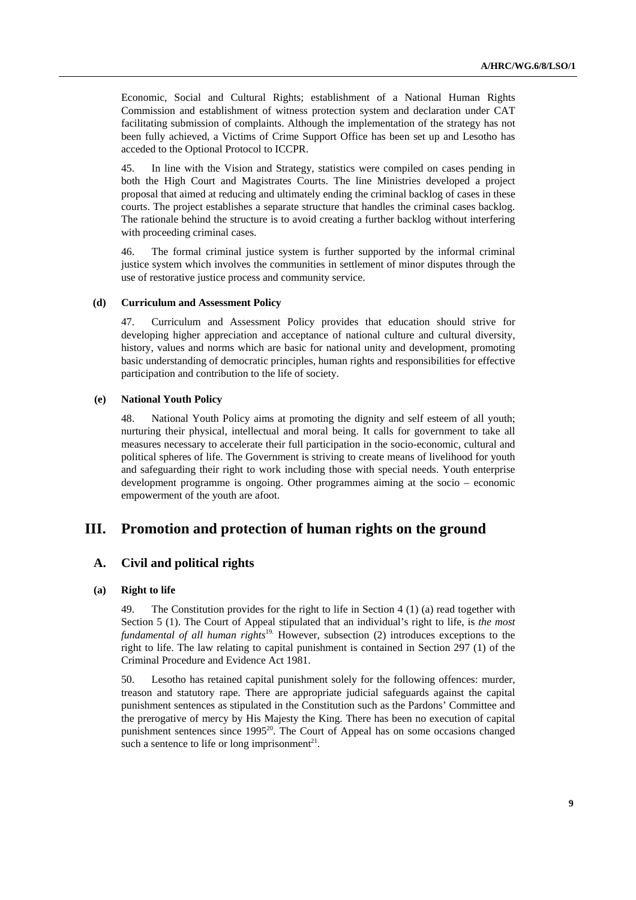Economic, Social and Cultural Rights; establishment of a National Human Rights Commission and establishment of witness protection system and declaration under CAT facilitating submission of complaints. Although the implementation of the strategy has not been fully achieved, a Victims of Crime Support Office has been set up and Lesotho has acceded to the Optional Protocol to ICCPR.

45. In line with the Vision and Strategy, statistics were compiled on cases pending in both the High Court and Magistrates Courts. The line Ministries developed a project proposal that aimed at reducing and ultimately ending the criminal backlog of cases in these courts. The project establishes a separate structure that handles the criminal cases backlog. The rationale behind the structure is to avoid creating a further backlog without interfering with proceeding criminal cases.

46. The formal criminal justice system is further supported by the informal criminal justice system which involves the communities in settlement of minor disputes through the use of restorative justice process and community service.

#### **(d) Curriculum and Assessment Policy**

47. Curriculum and Assessment Policy provides that education should strive for developing higher appreciation and acceptance of national culture and cultural diversity, history, values and norms which are basic for national unity and development, promoting basic understanding of democratic principles, human rights and responsibilities for effective participation and contribution to the life of society.

#### **(e) National Youth Policy**

48. National Youth Policy aims at promoting the dignity and self esteem of all youth; nurturing their physical, intellectual and moral being. It calls for government to take all measures necessary to accelerate their full participation in the socio-economic, cultural and political spheres of life. The Government is striving to create means of livelihood for youth and safeguarding their right to work including those with special needs. Youth enterprise development programme is ongoing. Other programmes aiming at the socio – economic empowerment of the youth are afoot.

## **III. Promotion and protection of human rights on the ground**

## **A. Civil and political rights**

## **(a) Right to life**

49. The Constitution provides for the right to life in Section 4 (1) (a) read together with Section 5 (1). The Court of Appeal stipulated that an individual's right to life, is *the most fundamental of all human rights*19. However, subsection (2) introduces exceptions to the right to life. The law relating to capital punishment is contained in Section 297 (1) of the Criminal Procedure and Evidence Act 1981.

50. Lesotho has retained capital punishment solely for the following offences: murder, treason and statutory rape. There are appropriate judicial safeguards against the capital punishment sentences as stipulated in the Constitution such as the Pardons' Committee and the prerogative of mercy by His Majesty the King. There has been no execution of capital punishment sentences since 1995<sup>20</sup>. The Court of Appeal has on some occasions changed such a sentence to life or long imprisonment<sup>21</sup>.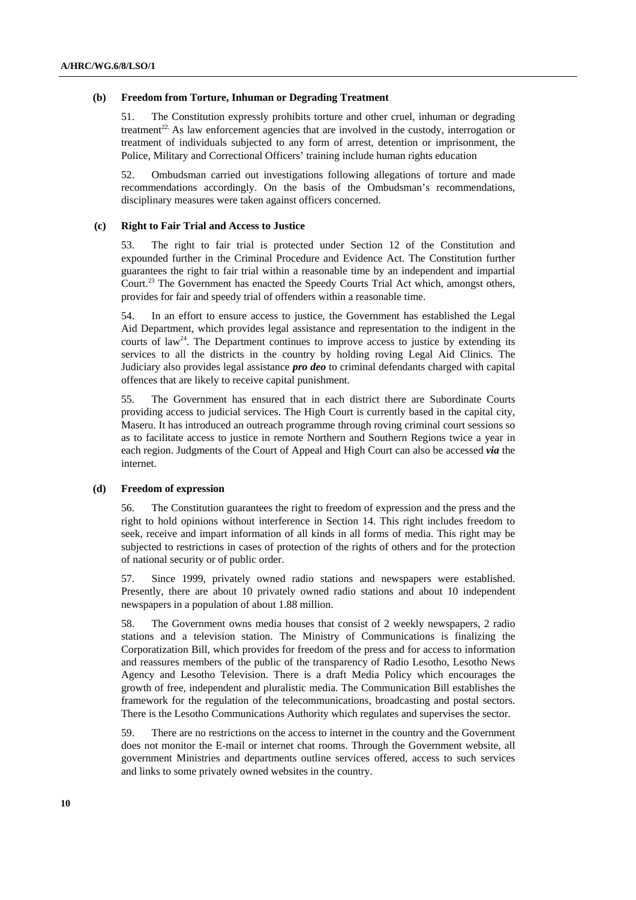#### **(b) Freedom from Torture, Inhuman or Degrading Treatment**

51. The Constitution expressly prohibits torture and other cruel, inhuman or degrading treatment<sup>22</sup>. As law enforcement agencies that are involved in the custody, interrogation or treatment of individuals subjected to any form of arrest, detention or imprisonment, the Police, Military and Correctional Officers' training include human rights education

52. Ombudsman carried out investigations following allegations of torture and made recommendations accordingly. On the basis of the Ombudsman's recommendations, disciplinary measures were taken against officers concerned.

#### **(c) Right to Fair Trial and Access to Justice**

53. The right to fair trial is protected under Section 12 of the Constitution and expounded further in the Criminal Procedure and Evidence Act. The Constitution further guarantees the right to fair trial within a reasonable time by an independent and impartial Court.<sup>23</sup> The Government has enacted the Speedy Courts Trial Act which, amongst others, provides for fair and speedy trial of offenders within a reasonable time.

54. In an effort to ensure access to justice, the Government has established the Legal Aid Department, which provides legal assistance and representation to the indigent in the courts of law<sup>24</sup>. The Department continues to improve access to justice by extending its services to all the districts in the country by holding roving Legal Aid Clinics. The Judiciary also provides legal assistance *pro deo* to criminal defendants charged with capital offences that are likely to receive capital punishment.

55. The Government has ensured that in each district there are Subordinate Courts providing access to judicial services. The High Court is currently based in the capital city, Maseru. It has introduced an outreach programme through roving criminal court sessions so as to facilitate access to justice in remote Northern and Southern Regions twice a year in each region. Judgments of the Court of Appeal and High Court can also be accessed *via* the internet.

#### **(d) Freedom of expression**

56. The Constitution guarantees the right to freedom of expression and the press and the right to hold opinions without interference in Section 14. This right includes freedom to seek, receive and impart information of all kinds in all forms of media. This right may be subjected to restrictions in cases of protection of the rights of others and for the protection of national security or of public order.

57. Since 1999, privately owned radio stations and newspapers were established. Presently, there are about 10 privately owned radio stations and about 10 independent newspapers in a population of about 1.88 million.

58. The Government owns media houses that consist of 2 weekly newspapers, 2 radio stations and a television station. The Ministry of Communications is finalizing the Corporatization Bill, which provides for freedom of the press and for access to information and reassures members of the public of the transparency of Radio Lesotho, Lesotho News Agency and Lesotho Television. There is a draft Media Policy which encourages the growth of free, independent and pluralistic media. The Communication Bill establishes the framework for the regulation of the telecommunications, broadcasting and postal sectors. There is the Lesotho Communications Authority which regulates and supervises the sector.

59. There are no restrictions on the access to internet in the country and the Government does not monitor the E-mail or internet chat rooms. Through the Government website, all government Ministries and departments outline services offered, access to such services and links to some privately owned websites in the country.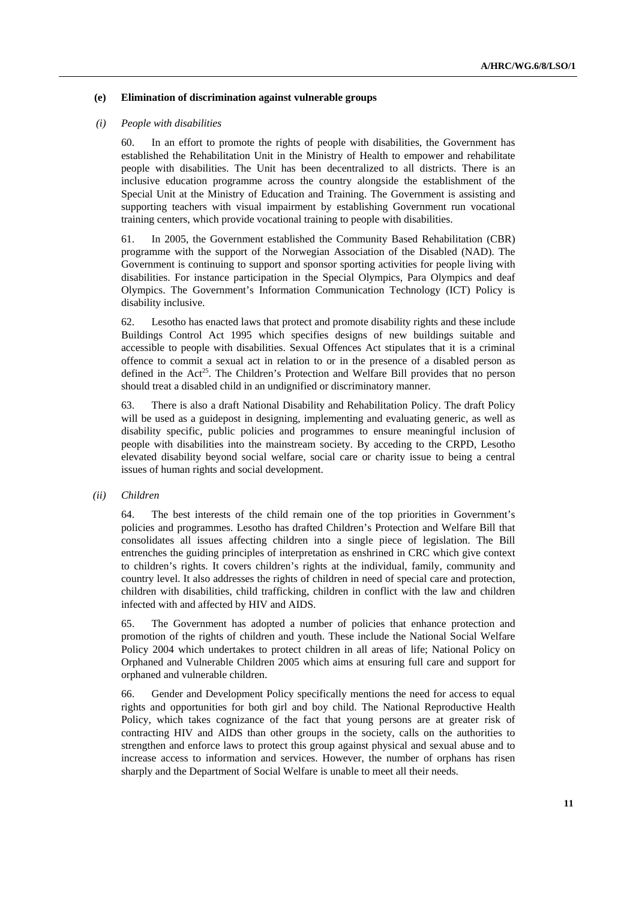### **(e) Elimination of discrimination against vulnerable groups**

### *(i) People with disabilities*

60. In an effort to promote the rights of people with disabilities, the Government has established the Rehabilitation Unit in the Ministry of Health to empower and rehabilitate people with disabilities. The Unit has been decentralized to all districts. There is an inclusive education programme across the country alongside the establishment of the Special Unit at the Ministry of Education and Training. The Government is assisting and supporting teachers with visual impairment by establishing Government run vocational training centers, which provide vocational training to people with disabilities.

61. In 2005, the Government established the Community Based Rehabilitation (CBR) programme with the support of the Norwegian Association of the Disabled (NAD). The Government is continuing to support and sponsor sporting activities for people living with disabilities. For instance participation in the Special Olympics, Para Olympics and deaf Olympics. The Government's Information Communication Technology (ICT) Policy is disability inclusive.

62. Lesotho has enacted laws that protect and promote disability rights and these include Buildings Control Act 1995 which specifies designs of new buildings suitable and accessible to people with disabilities. Sexual Offences Act stipulates that it is a criminal offence to commit a sexual act in relation to or in the presence of a disabled person as defined in the Act<sup>25</sup>. The Children's Protection and Welfare Bill provides that no person should treat a disabled child in an undignified or discriminatory manner.

63. There is also a draft National Disability and Rehabilitation Policy. The draft Policy will be used as a guidepost in designing, implementing and evaluating generic, as well as disability specific, public policies and programmes to ensure meaningful inclusion of people with disabilities into the mainstream society. By acceding to the CRPD, Lesotho elevated disability beyond social welfare, social care or charity issue to being a central issues of human rights and social development.

#### *(ii) Children*

64. The best interests of the child remain one of the top priorities in Government's policies and programmes. Lesotho has drafted Children's Protection and Welfare Bill that consolidates all issues affecting children into a single piece of legislation. The Bill entrenches the guiding principles of interpretation as enshrined in CRC which give context to children's rights. It covers children's rights at the individual, family, community and country level. It also addresses the rights of children in need of special care and protection, children with disabilities, child trafficking, children in conflict with the law and children infected with and affected by HIV and AIDS.

65. The Government has adopted a number of policies that enhance protection and promotion of the rights of children and youth. These include the National Social Welfare Policy 2004 which undertakes to protect children in all areas of life; National Policy on Orphaned and Vulnerable Children 2005 which aims at ensuring full care and support for orphaned and vulnerable children.

66. Gender and Development Policy specifically mentions the need for access to equal rights and opportunities for both girl and boy child. The National Reproductive Health Policy, which takes cognizance of the fact that young persons are at greater risk of contracting HIV and AIDS than other groups in the society, calls on the authorities to strengthen and enforce laws to protect this group against physical and sexual abuse and to increase access to information and services. However, the number of orphans has risen sharply and the Department of Social Welfare is unable to meet all their needs.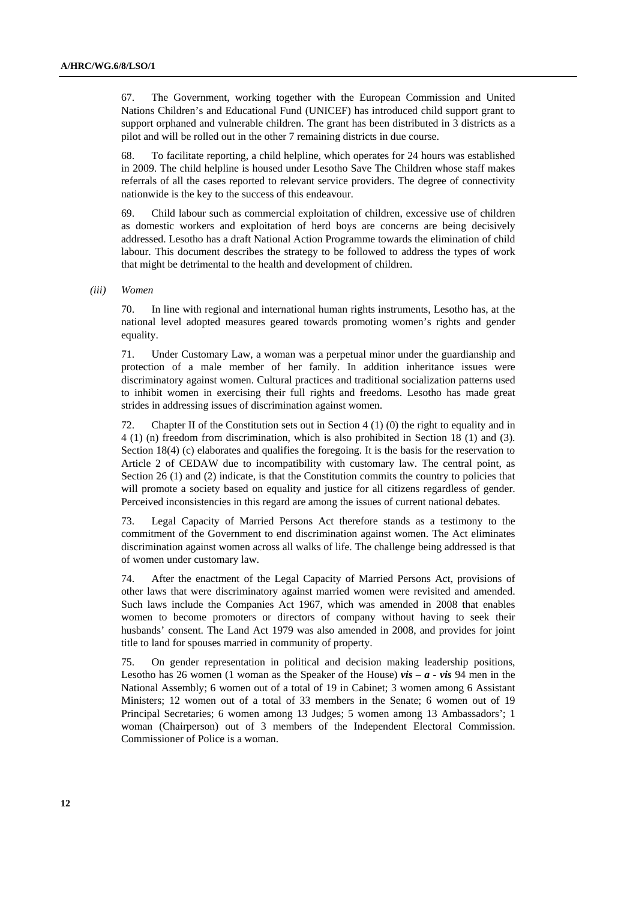67. The Government, working together with the European Commission and United Nations Children's and Educational Fund (UNICEF) has introduced child support grant to support orphaned and vulnerable children. The grant has been distributed in 3 districts as a pilot and will be rolled out in the other 7 remaining districts in due course.

68. To facilitate reporting, a child helpline, which operates for 24 hours was established in 2009. The child helpline is housed under Lesotho Save The Children whose staff makes referrals of all the cases reported to relevant service providers. The degree of connectivity nationwide is the key to the success of this endeavour.

69. Child labour such as commercial exploitation of children, excessive use of children as domestic workers and exploitation of herd boys are concerns are being decisively addressed. Lesotho has a draft National Action Programme towards the elimination of child labour. This document describes the strategy to be followed to address the types of work that might be detrimental to the health and development of children.

 *(iii) Women* 

70. In line with regional and international human rights instruments, Lesotho has, at the national level adopted measures geared towards promoting women's rights and gender equality.

71. Under Customary Law, a woman was a perpetual minor under the guardianship and protection of a male member of her family. In addition inheritance issues were discriminatory against women. Cultural practices and traditional socialization patterns used to inhibit women in exercising their full rights and freedoms. Lesotho has made great strides in addressing issues of discrimination against women.

72. Chapter II of the Constitution sets out in Section 4 (1) (0) the right to equality and in 4 (1) (n) freedom from discrimination, which is also prohibited in Section 18 (1) and (3). Section 18(4) (c) elaborates and qualifies the foregoing. It is the basis for the reservation to Article 2 of CEDAW due to incompatibility with customary law. The central point, as Section 26 (1) and (2) indicate, is that the Constitution commits the country to policies that will promote a society based on equality and justice for all citizens regardless of gender. Perceived inconsistencies in this regard are among the issues of current national debates.

73. Legal Capacity of Married Persons Act therefore stands as a testimony to the commitment of the Government to end discrimination against women. The Act eliminates discrimination against women across all walks of life. The challenge being addressed is that of women under customary law.

74. After the enactment of the Legal Capacity of Married Persons Act, provisions of other laws that were discriminatory against married women were revisited and amended. Such laws include the Companies Act 1967, which was amended in 2008 that enables women to become promoters or directors of company without having to seek their husbands' consent. The Land Act 1979 was also amended in 2008, and provides for joint title to land for spouses married in community of property.

75. On gender representation in political and decision making leadership positions, Lesotho has 26 women (1 woman as the Speaker of the House) *vis – a - vis* 94 men in the National Assembly; 6 women out of a total of 19 in Cabinet; 3 women among 6 Assistant Ministers; 12 women out of a total of 33 members in the Senate; 6 women out of 19 Principal Secretaries; 6 women among 13 Judges; 5 women among 13 Ambassadors'; 1 woman (Chairperson) out of 3 members of the Independent Electoral Commission. Commissioner of Police is a woman.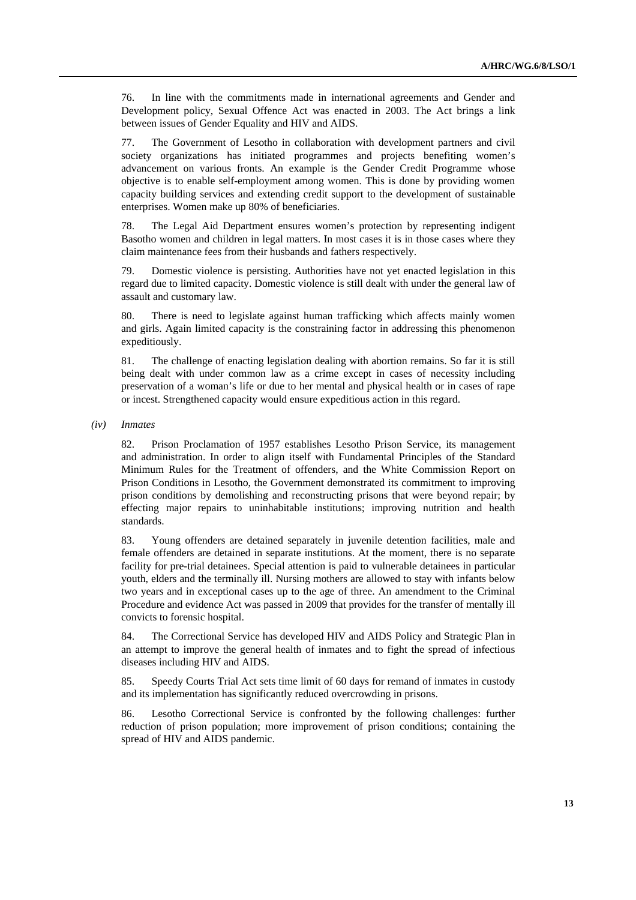76. In line with the commitments made in international agreements and Gender and Development policy, Sexual Offence Act was enacted in 2003. The Act brings a link between issues of Gender Equality and HIV and AIDS.

77. The Government of Lesotho in collaboration with development partners and civil society organizations has initiated programmes and projects benefiting women's advancement on various fronts. An example is the Gender Credit Programme whose objective is to enable self-employment among women. This is done by providing women capacity building services and extending credit support to the development of sustainable enterprises. Women make up 80% of beneficiaries.

78. The Legal Aid Department ensures women's protection by representing indigent Basotho women and children in legal matters. In most cases it is in those cases where they claim maintenance fees from their husbands and fathers respectively.

79. Domestic violence is persisting. Authorities have not yet enacted legislation in this regard due to limited capacity. Domestic violence is still dealt with under the general law of assault and customary law.

80. There is need to legislate against human trafficking which affects mainly women and girls. Again limited capacity is the constraining factor in addressing this phenomenon expeditiously.

81. The challenge of enacting legislation dealing with abortion remains. So far it is still being dealt with under common law as a crime except in cases of necessity including preservation of a woman's life or due to her mental and physical health or in cases of rape or incest. Strengthened capacity would ensure expeditious action in this regard.

 *(iv) Inmates* 

82. Prison Proclamation of 1957 establishes Lesotho Prison Service, its management and administration. In order to align itself with Fundamental Principles of the Standard Minimum Rules for the Treatment of offenders, and the White Commission Report on Prison Conditions in Lesotho, the Government demonstrated its commitment to improving prison conditions by demolishing and reconstructing prisons that were beyond repair; by effecting major repairs to uninhabitable institutions; improving nutrition and health standards.

83. Young offenders are detained separately in juvenile detention facilities, male and female offenders are detained in separate institutions. At the moment, there is no separate facility for pre-trial detainees. Special attention is paid to vulnerable detainees in particular youth, elders and the terminally ill. Nursing mothers are allowed to stay with infants below two years and in exceptional cases up to the age of three. An amendment to the Criminal Procedure and evidence Act was passed in 2009 that provides for the transfer of mentally ill convicts to forensic hospital.

84. The Correctional Service has developed HIV and AIDS Policy and Strategic Plan in an attempt to improve the general health of inmates and to fight the spread of infectious diseases including HIV and AIDS.

85. Speedy Courts Trial Act sets time limit of 60 days for remand of inmates in custody and its implementation has significantly reduced overcrowding in prisons.

86. Lesotho Correctional Service is confronted by the following challenges: further reduction of prison population; more improvement of prison conditions; containing the spread of HIV and AIDS pandemic.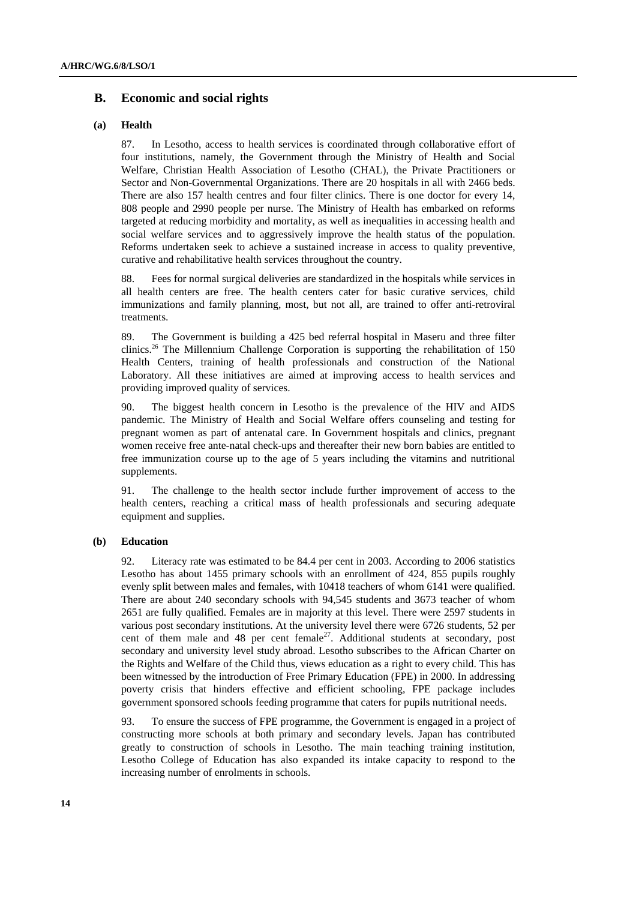## **B. Economic and social rights**

#### **(a) Health**

87. In Lesotho, access to health services is coordinated through collaborative effort of four institutions, namely, the Government through the Ministry of Health and Social Welfare, Christian Health Association of Lesotho (CHAL), the Private Practitioners or Sector and Non-Governmental Organizations. There are 20 hospitals in all with 2466 beds. There are also 157 health centres and four filter clinics. There is one doctor for every 14, 808 people and 2990 people per nurse. The Ministry of Health has embarked on reforms targeted at reducing morbidity and mortality, as well as inequalities in accessing health and social welfare services and to aggressively improve the health status of the population. Reforms undertaken seek to achieve a sustained increase in access to quality preventive, curative and rehabilitative health services throughout the country.

88. Fees for normal surgical deliveries are standardized in the hospitals while services in all health centers are free. The health centers cater for basic curative services, child immunizations and family planning, most, but not all, are trained to offer anti-retroviral treatments.

89. The Government is building a 425 bed referral hospital in Maseru and three filter clinics.26 The Millennium Challenge Corporation is supporting the rehabilitation of 150 Health Centers, training of health professionals and construction of the National Laboratory. All these initiatives are aimed at improving access to health services and providing improved quality of services.

90. The biggest health concern in Lesotho is the prevalence of the HIV and AIDS pandemic. The Ministry of Health and Social Welfare offers counseling and testing for pregnant women as part of antenatal care. In Government hospitals and clinics, pregnant women receive free ante-natal check-ups and thereafter their new born babies are entitled to free immunization course up to the age of 5 years including the vitamins and nutritional supplements.

91. The challenge to the health sector include further improvement of access to the health centers, reaching a critical mass of health professionals and securing adequate equipment and supplies.

#### **(b) Education**

92. Literacy rate was estimated to be 84.4 per cent in 2003. According to 2006 statistics Lesotho has about 1455 primary schools with an enrollment of 424, 855 pupils roughly evenly split between males and females, with 10418 teachers of whom 6141 were qualified. There are about 240 secondary schools with 94,545 students and 3673 teacher of whom 2651 are fully qualified. Females are in majority at this level. There were 2597 students in various post secondary institutions. At the university level there were 6726 students, 52 per cent of them male and 48 per cent female<sup>27</sup>. Additional students at secondary, post secondary and university level study abroad. Lesotho subscribes to the African Charter on the Rights and Welfare of the Child thus, views education as a right to every child. This has been witnessed by the introduction of Free Primary Education (FPE) in 2000. In addressing poverty crisis that hinders effective and efficient schooling, FPE package includes government sponsored schools feeding programme that caters for pupils nutritional needs.

93. To ensure the success of FPE programme, the Government is engaged in a project of constructing more schools at both primary and secondary levels. Japan has contributed greatly to construction of schools in Lesotho. The main teaching training institution, Lesotho College of Education has also expanded its intake capacity to respond to the increasing number of enrolments in schools.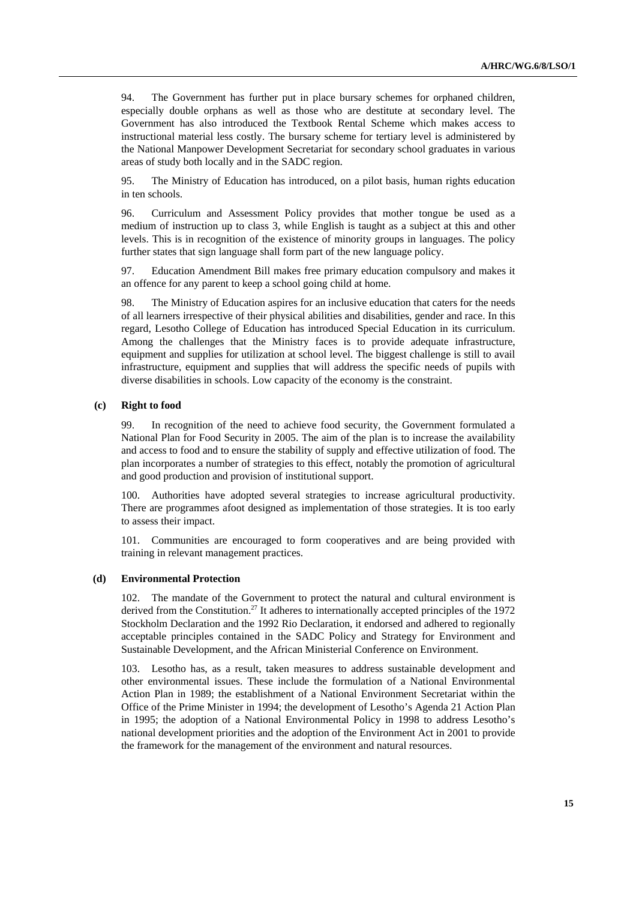94. The Government has further put in place bursary schemes for orphaned children, especially double orphans as well as those who are destitute at secondary level. The Government has also introduced the Textbook Rental Scheme which makes access to instructional material less costly. The bursary scheme for tertiary level is administered by the National Manpower Development Secretariat for secondary school graduates in various areas of study both locally and in the SADC region.

95. The Ministry of Education has introduced, on a pilot basis, human rights education in ten schools.

96. Curriculum and Assessment Policy provides that mother tongue be used as a medium of instruction up to class 3, while English is taught as a subject at this and other levels. This is in recognition of the existence of minority groups in languages. The policy further states that sign language shall form part of the new language policy.

97. Education Amendment Bill makes free primary education compulsory and makes it an offence for any parent to keep a school going child at home.

98. The Ministry of Education aspires for an inclusive education that caters for the needs of all learners irrespective of their physical abilities and disabilities, gender and race. In this regard, Lesotho College of Education has introduced Special Education in its curriculum. Among the challenges that the Ministry faces is to provide adequate infrastructure, equipment and supplies for utilization at school level. The biggest challenge is still to avail infrastructure, equipment and supplies that will address the specific needs of pupils with diverse disabilities in schools. Low capacity of the economy is the constraint.

#### **(c) Right to food**

99. In recognition of the need to achieve food security, the Government formulated a National Plan for Food Security in 2005. The aim of the plan is to increase the availability and access to food and to ensure the stability of supply and effective utilization of food. The plan incorporates a number of strategies to this effect, notably the promotion of agricultural and good production and provision of institutional support.

100. Authorities have adopted several strategies to increase agricultural productivity. There are programmes afoot designed as implementation of those strategies. It is too early to assess their impact.

101. Communities are encouraged to form cooperatives and are being provided with training in relevant management practices.

#### **(d) Environmental Protection**

102. The mandate of the Government to protect the natural and cultural environment is derived from the Constitution.<sup>27</sup> It adheres to internationally accepted principles of the 1972 Stockholm Declaration and the 1992 Rio Declaration, it endorsed and adhered to regionally acceptable principles contained in the SADC Policy and Strategy for Environment and Sustainable Development, and the African Ministerial Conference on Environment.

103. Lesotho has, as a result, taken measures to address sustainable development and other environmental issues. These include the formulation of a National Environmental Action Plan in 1989; the establishment of a National Environment Secretariat within the Office of the Prime Minister in 1994; the development of Lesotho's Agenda 21 Action Plan in 1995; the adoption of a National Environmental Policy in 1998 to address Lesotho's national development priorities and the adoption of the Environment Act in 2001 to provide the framework for the management of the environment and natural resources.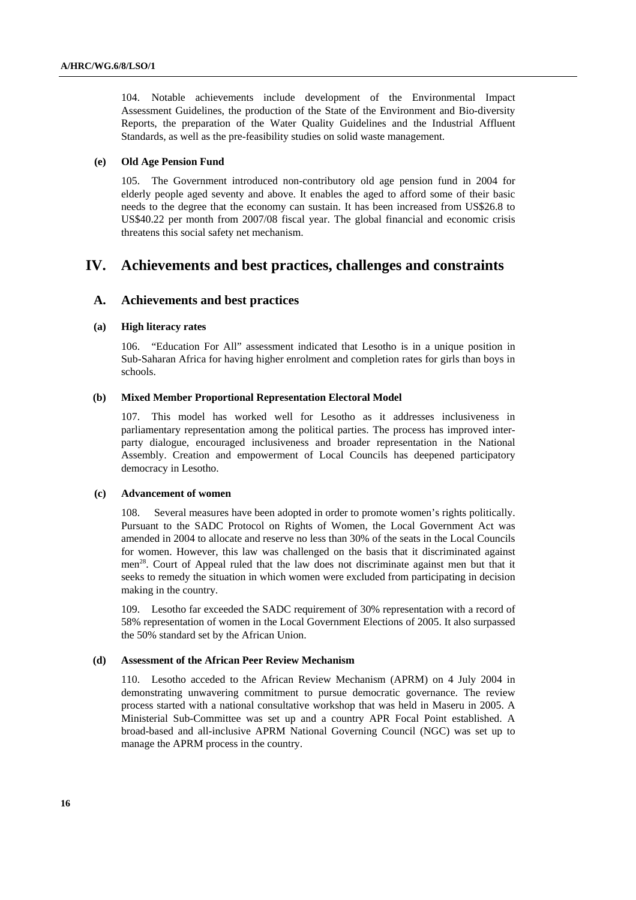104. Notable achievements include development of the Environmental Impact Assessment Guidelines, the production of the State of the Environment and Bio-diversity Reports, the preparation of the Water Quality Guidelines and the Industrial Affluent Standards, as well as the pre-feasibility studies on solid waste management.

#### **(e) Old Age Pension Fund**

105. The Government introduced non-contributory old age pension fund in 2004 for elderly people aged seventy and above. It enables the aged to afford some of their basic needs to the degree that the economy can sustain. It has been increased from US\$26.8 to US\$40.22 per month from 2007/08 fiscal year. The global financial and economic crisis threatens this social safety net mechanism.

## **IV. Achievements and best practices, challenges and constraints**

## **A. Achievements and best practices**

#### **(a) High literacy rates**

106. "Education For All" assessment indicated that Lesotho is in a unique position in Sub-Saharan Africa for having higher enrolment and completion rates for girls than boys in schools.

### **(b) Mixed Member Proportional Representation Electoral Model**

107. This model has worked well for Lesotho as it addresses inclusiveness in parliamentary representation among the political parties. The process has improved interparty dialogue, encouraged inclusiveness and broader representation in the National Assembly. Creation and empowerment of Local Councils has deepened participatory democracy in Lesotho.

#### **(c) Advancement of women**

108. Several measures have been adopted in order to promote women's rights politically. Pursuant to the SADC Protocol on Rights of Women, the Local Government Act was amended in 2004 to allocate and reserve no less than 30% of the seats in the Local Councils for women. However, this law was challenged on the basis that it discriminated against men<sup>28</sup>. Court of Appeal ruled that the law does not discriminate against men but that it seeks to remedy the situation in which women were excluded from participating in decision making in the country.

109. Lesotho far exceeded the SADC requirement of 30% representation with a record of 58% representation of women in the Local Government Elections of 2005. It also surpassed the 50% standard set by the African Union.

### **(d) Assessment of the African Peer Review Mechanism**

110. Lesotho acceded to the African Review Mechanism (APRM) on 4 July 2004 in demonstrating unwavering commitment to pursue democratic governance. The review process started with a national consultative workshop that was held in Maseru in 2005. A Ministerial Sub-Committee was set up and a country APR Focal Point established. A broad-based and all-inclusive APRM National Governing Council (NGC) was set up to manage the APRM process in the country.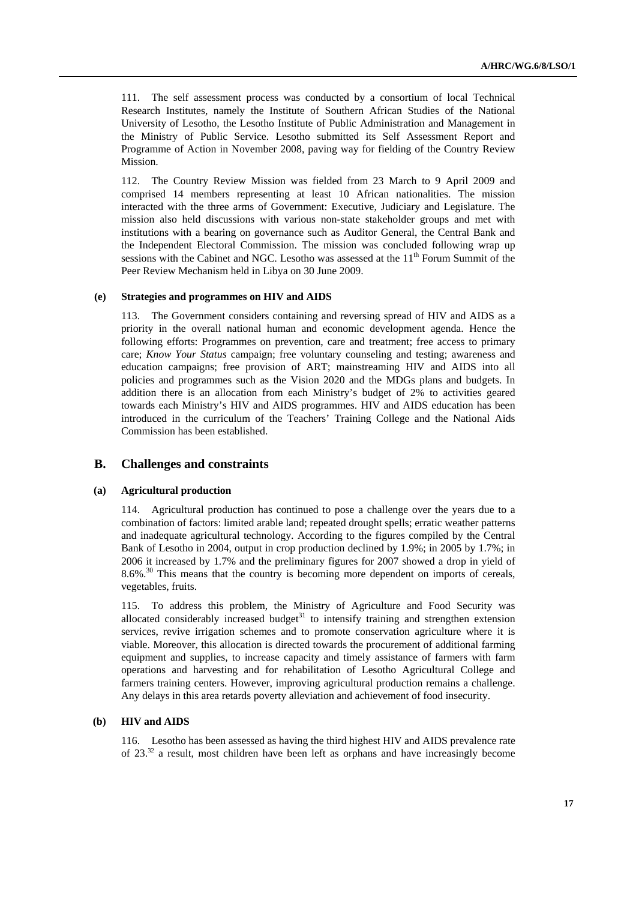111. The self assessment process was conducted by a consortium of local Technical Research Institutes, namely the Institute of Southern African Studies of the National University of Lesotho, the Lesotho Institute of Public Administration and Management in the Ministry of Public Service. Lesotho submitted its Self Assessment Report and Programme of Action in November 2008, paving way for fielding of the Country Review Mission.

112. The Country Review Mission was fielded from 23 March to 9 April 2009 and comprised 14 members representing at least 10 African nationalities. The mission interacted with the three arms of Government: Executive, Judiciary and Legislature. The mission also held discussions with various non-state stakeholder groups and met with institutions with a bearing on governance such as Auditor General, the Central Bank and the Independent Electoral Commission. The mission was concluded following wrap up sessions with the Cabinet and NGC. Lesotho was assessed at the  $11<sup>th</sup>$  Forum Summit of the Peer Review Mechanism held in Libya on 30 June 2009.

#### **(e) Strategies and programmes on HIV and AIDS**

113. The Government considers containing and reversing spread of HIV and AIDS as a priority in the overall national human and economic development agenda. Hence the following efforts: Programmes on prevention, care and treatment; free access to primary care; *Know Your Status* campaign; free voluntary counseling and testing; awareness and education campaigns; free provision of ART; mainstreaming HIV and AIDS into all policies and programmes such as the Vision 2020 and the MDGs plans and budgets. In addition there is an allocation from each Ministry's budget of 2% to activities geared towards each Ministry's HIV and AIDS programmes. HIV and AIDS education has been introduced in the curriculum of the Teachers' Training College and the National Aids Commission has been established.

## **B. Challenges and constraints**

### **(a) Agricultural production**

114. Agricultural production has continued to pose a challenge over the years due to a combination of factors: limited arable land; repeated drought spells; erratic weather patterns and inadequate agricultural technology. According to the figures compiled by the Central Bank of Lesotho in 2004, output in crop production declined by 1.9%; in 2005 by 1.7%; in 2006 it increased by 1.7% and the preliminary figures for 2007 showed a drop in yield of 8.6%.<sup>30</sup> This means that the country is becoming more dependent on imports of cereals, vegetables, fruits.

115. To address this problem, the Ministry of Agriculture and Food Security was allocated considerably increased budget $31$  to intensify training and strengthen extension services, revive irrigation schemes and to promote conservation agriculture where it is viable. Moreover, this allocation is directed towards the procurement of additional farming equipment and supplies, to increase capacity and timely assistance of farmers with farm operations and harvesting and for rehabilitation of Lesotho Agricultural College and farmers training centers. However, improving agricultural production remains a challenge. Any delays in this area retards poverty alleviation and achievement of food insecurity.

### **(b) HIV and AIDS**

116. Lesotho has been assessed as having the third highest HIV and AIDS prevalence rate of 23.32 a result, most children have been left as orphans and have increasingly become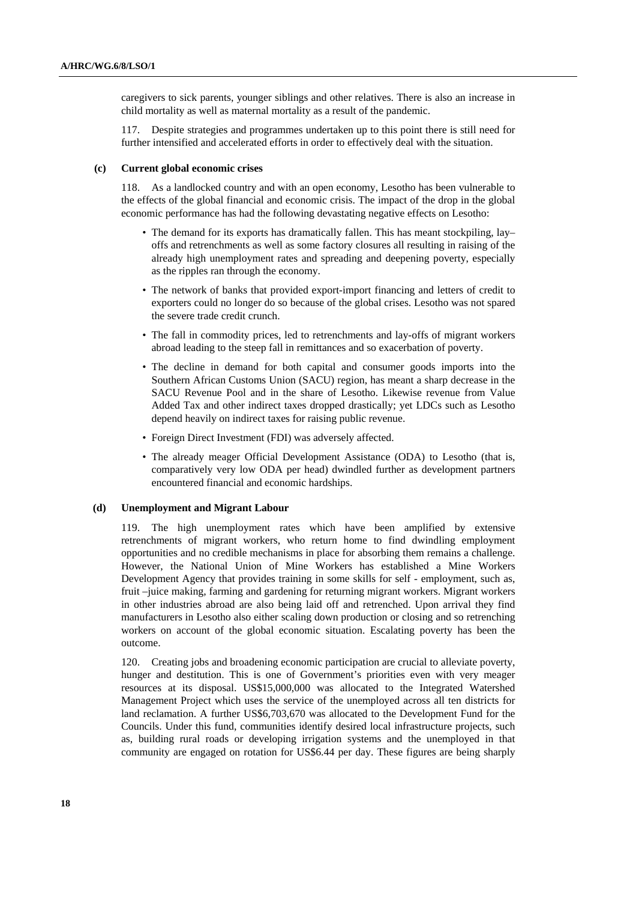caregivers to sick parents, younger siblings and other relatives. There is also an increase in child mortality as well as maternal mortality as a result of the pandemic.

117. Despite strategies and programmes undertaken up to this point there is still need for further intensified and accelerated efforts in order to effectively deal with the situation.

#### **(c) Current global economic crises**

118. As a landlocked country and with an open economy, Lesotho has been vulnerable to the effects of the global financial and economic crisis. The impact of the drop in the global economic performance has had the following devastating negative effects on Lesotho:

- The demand for its exports has dramatically fallen. This has meant stockpiling, lay– offs and retrenchments as well as some factory closures all resulting in raising of the already high unemployment rates and spreading and deepening poverty, especially as the ripples ran through the economy.
- The network of banks that provided export-import financing and letters of credit to exporters could no longer do so because of the global crises. Lesotho was not spared the severe trade credit crunch.
- The fall in commodity prices, led to retrenchments and lay-offs of migrant workers abroad leading to the steep fall in remittances and so exacerbation of poverty.
- The decline in demand for both capital and consumer goods imports into the Southern African Customs Union (SACU) region, has meant a sharp decrease in the SACU Revenue Pool and in the share of Lesotho. Likewise revenue from Value Added Tax and other indirect taxes dropped drastically; yet LDCs such as Lesotho depend heavily on indirect taxes for raising public revenue.
- Foreign Direct Investment (FDI) was adversely affected.
- The already meager Official Development Assistance (ODA) to Lesotho (that is, comparatively very low ODA per head) dwindled further as development partners encountered financial and economic hardships.

### **(d) Unemployment and Migrant Labour**

119. The high unemployment rates which have been amplified by extensive retrenchments of migrant workers, who return home to find dwindling employment opportunities and no credible mechanisms in place for absorbing them remains a challenge. However, the National Union of Mine Workers has established a Mine Workers Development Agency that provides training in some skills for self - employment, such as, fruit –juice making, farming and gardening for returning migrant workers. Migrant workers in other industries abroad are also being laid off and retrenched. Upon arrival they find manufacturers in Lesotho also either scaling down production or closing and so retrenching workers on account of the global economic situation. Escalating poverty has been the outcome.

120. Creating jobs and broadening economic participation are crucial to alleviate poverty, hunger and destitution. This is one of Government's priorities even with very meager resources at its disposal. US\$15,000,000 was allocated to the Integrated Watershed Management Project which uses the service of the unemployed across all ten districts for land reclamation. A further US\$6,703,670 was allocated to the Development Fund for the Councils. Under this fund, communities identify desired local infrastructure projects, such as, building rural roads or developing irrigation systems and the unemployed in that community are engaged on rotation for US\$6.44 per day. These figures are being sharply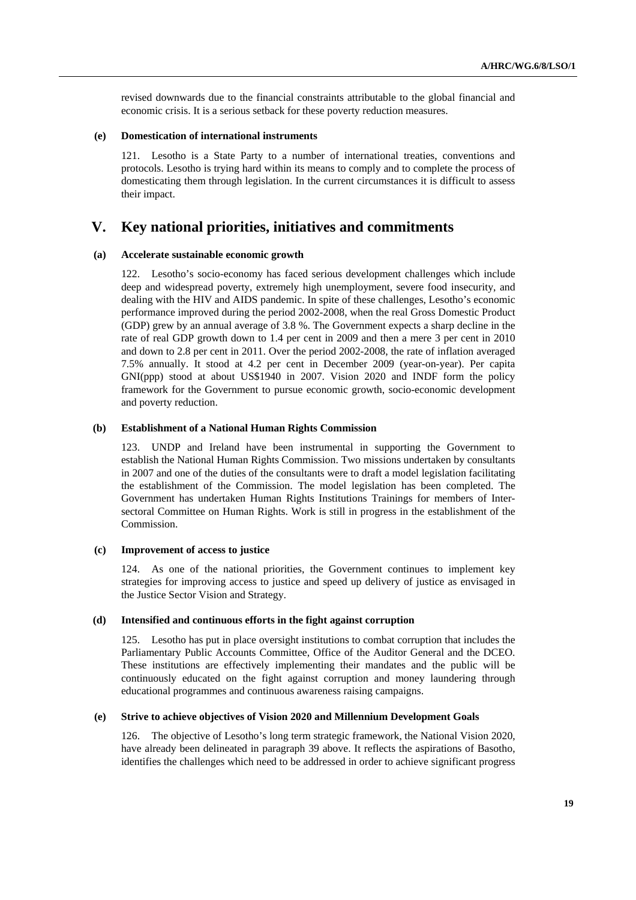revised downwards due to the financial constraints attributable to the global financial and economic crisis. It is a serious setback for these poverty reduction measures.

#### **(e) Domestication of international instruments**

121. Lesotho is a State Party to a number of international treaties, conventions and protocols. Lesotho is trying hard within its means to comply and to complete the process of domesticating them through legislation. In the current circumstances it is difficult to assess their impact.

## **V. Key national priorities, initiatives and commitments**

#### **(a) Accelerate sustainable economic growth**

122. Lesotho's socio-economy has faced serious development challenges which include deep and widespread poverty, extremely high unemployment, severe food insecurity, and dealing with the HIV and AIDS pandemic. In spite of these challenges, Lesotho's economic performance improved during the period 2002-2008, when the real Gross Domestic Product (GDP) grew by an annual average of 3.8 %. The Government expects a sharp decline in the rate of real GDP growth down to 1.4 per cent in 2009 and then a mere 3 per cent in 2010 and down to 2.8 per cent in 2011. Over the period 2002-2008, the rate of inflation averaged 7.5% annually. It stood at 4.2 per cent in December 2009 (year-on-year). Per capita GNI(ppp) stood at about US\$1940 in 2007. Vision 2020 and INDF form the policy framework for the Government to pursue economic growth, socio-economic development and poverty reduction.

## **(b) Establishment of a National Human Rights Commission**

123. UNDP and Ireland have been instrumental in supporting the Government to establish the National Human Rights Commission. Two missions undertaken by consultants in 2007 and one of the duties of the consultants were to draft a model legislation facilitating the establishment of the Commission. The model legislation has been completed. The Government has undertaken Human Rights Institutions Trainings for members of Intersectoral Committee on Human Rights. Work is still in progress in the establishment of the Commission.

#### **(c) Improvement of access to justice**

124. As one of the national priorities, the Government continues to implement key strategies for improving access to justice and speed up delivery of justice as envisaged in the Justice Sector Vision and Strategy.

#### **(d) Intensified and continuous efforts in the fight against corruption**

125. Lesotho has put in place oversight institutions to combat corruption that includes the Parliamentary Public Accounts Committee, Office of the Auditor General and the DCEO. These institutions are effectively implementing their mandates and the public will be continuously educated on the fight against corruption and money laundering through educational programmes and continuous awareness raising campaigns.

#### **(e) Strive to achieve objectives of Vision 2020 and Millennium Development Goals**

126. The objective of Lesotho's long term strategic framework, the National Vision 2020, have already been delineated in paragraph 39 above. It reflects the aspirations of Basotho, identifies the challenges which need to be addressed in order to achieve significant progress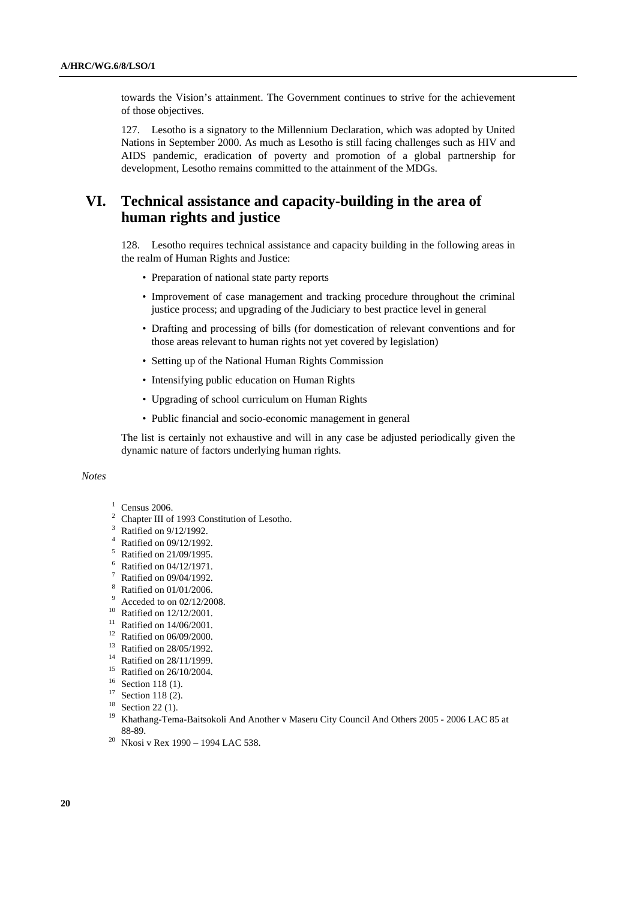towards the Vision's attainment. The Government continues to strive for the achievement of those objectives.

127. Lesotho is a signatory to the Millennium Declaration, which was adopted by United Nations in September 2000. As much as Lesotho is still facing challenges such as HIV and AIDS pandemic, eradication of poverty and promotion of a global partnership for development, Lesotho remains committed to the attainment of the MDGs.

## **VI. Technical assistance and capacity-building in the area of human rights and justice**

128. Lesotho requires technical assistance and capacity building in the following areas in the realm of Human Rights and Justice:

- Preparation of national state party reports
- Improvement of case management and tracking procedure throughout the criminal justice process; and upgrading of the Judiciary to best practice level in general
- Drafting and processing of bills (for domestication of relevant conventions and for those areas relevant to human rights not yet covered by legislation)
- Setting up of the National Human Rights Commission
- Intensifying public education on Human Rights
- Upgrading of school curriculum on Human Rights
- Public financial and socio-economic management in general

The list is certainly not exhaustive and will in any case be adjusted periodically given the dynamic nature of factors underlying human rights.

 *Notes* 

## $1$  Census 2006.

- <sup>2</sup> Chapter III of 1993 Constitution of Lesotho.
- 3 Ratified on 9/12/1992.
- 4 Ratified on 09/12/1992.
- <sup>5</sup> Ratified on 21/09/1995.
- 6 Ratified on 04/12/1971.
- $7$  Ratified on 09/04/1992.
- 8 Ratified on 01/01/2006.
- 9 Acceded to on 02/12/2008.
- 10 Ratified on 12/12/2001.
- $11$  Ratified on 14/06/2001.
- 12 Ratified on 06/09/2000.
- 13 Ratified on 28/05/1992.
- <sup>14</sup> Ratified on 28/11/1999.
- 15 Ratified on 26/10/2004.
- <sup>16</sup> Section 118 (1).
- $17$  Section 118 (2).
- <sup>18</sup> Section 22 (1).
- <sup>19</sup> Khathang-Tema-Baitsokoli And Another v Maseru City Council And Others 2005 2006 LAC 85 at
- 88-89. 20 Nkosi v Rex 1990 1994 LAC 538.